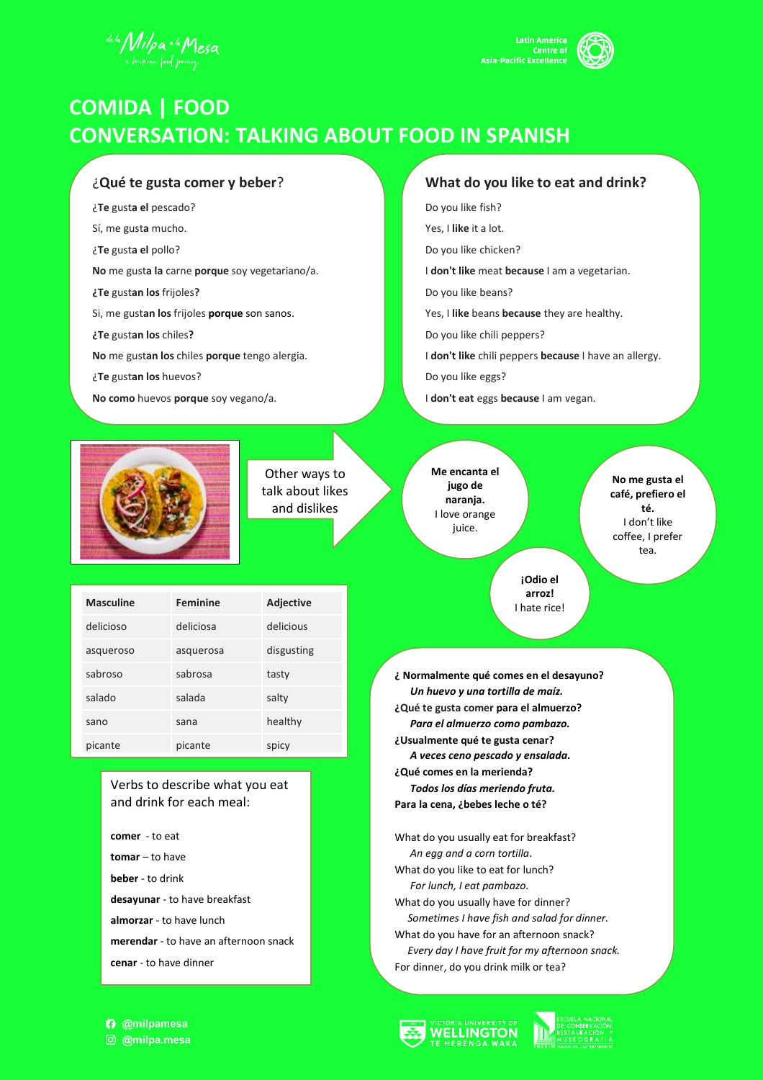



# **COMIDA | FOOD CONVERSATION: TALKING ABOUT FOOD IN SPANISH**

### ¿**Qué te gusta comer y beber**?

- ¿**Te** gust**a el** pescado?
- Sí, me gust**a** mucho.
- ¿**Te** gust**a el** pollo?
- **No** me gust**a la** carne **porque** soy vegetariano/a.
- **¿Te** gust**an los** frijoles**?**
- Si, me gust**an los** frijoles **porque** son sanos.
- **¿Te** gust**an los** chiles**?**
- **No** me gust**an los** chiles **porque** tengo alergia.
- ¿**Te** gust**an los** huevos?
- **No como** huevos **porque** soy vegano/a.

Other ways to talk about likes and dislikes

#### **What do you like to eat and drink?**

- Do you like fish?
- Yes, I **like** it a lot.
- Do you like chicken?
- I **don't like** meat **because** I am a vegetarian.
- Do you like beans?
- Yes, I **like** beans **because** they are healthy.
- Do you like chili peppers?
- I **don't like** chili peppers **because** I have an allergy.
- Do you like eggs?
- I **don't eat** eggs **because** I am vegan.



**No me gusta el café, prefiero el té.** I don't like coffee, I prefer tea.

**¡Odio el arroz!** I hate rice!

| <b>Masculine</b> | <b>Feminine</b> | Adjective  |
|------------------|-----------------|------------|
| delicioso        | deliciosa       | delicious  |
| asqueroso        | asquerosa       | disgusting |
| sabroso          | sabrosa         | tasty      |
| salado           | salada          | salty      |
| sano             | sana            | healthy    |
| picante          | picante         | spicy      |

#### Verbs to describe what you eat and drink for each meal:

- **comer** to eat **tomar** – to have **beber** - to drink **desayunar** - to have breakfast **almorzar** - to have lunch **merendar** - to have an afternoon snack **cenar** - to have dinner
- **¿ Normalmente qué comes en el desayuno?** *Un huevo y una tortilla de maíz.* **¿Qué te gusta comer para el almuerzo?** *Para el almuerzo como pambazo.* **¿Usualmente qué te gusta cenar?** *A veces ceno pescado y ensalada.* **¿Qué comes en la merienda?** *Todos los días meriendo fruta.*  **Para la cena, ¿bebes leche o té?**

What do you usually eat for breakfast? *An egg and a corn tortilla.* What do you like to eat for lunch? *For lunch, I eat pambazo.* What do you usually have for dinner? *Sometimes I have fish and salad for dinner.*  What do you have for an afternoon snack? *Every day I have fruit for my afternoon snack.* For dinner, do you drink milk or tea?